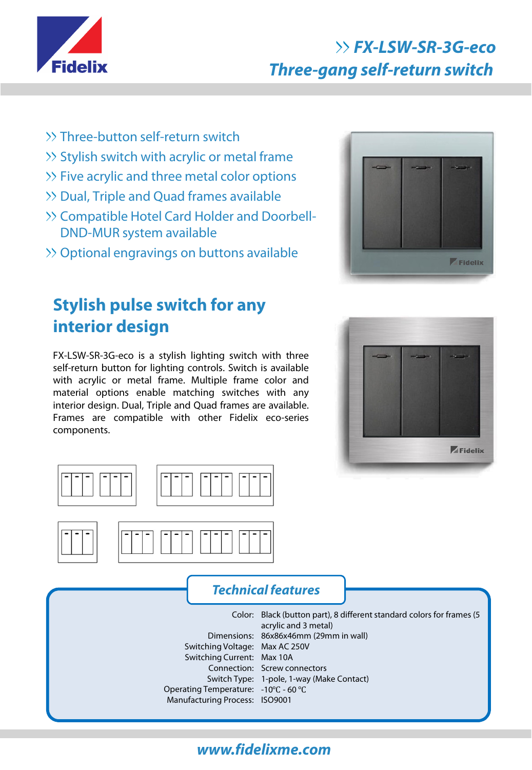

# **FX-LSW-SR-3G-eco Three-gang self-return switch**

- Three-button self-return switch
- >> Stylish switch with acrylic or metal frame
- >> Five acrylic and three metal color options
- Dual, Triple and Quad frames available
- >> Compatible Hotel Card Holder and Doorbell-DND-MUR system available
- Optional engravings on buttons available

# **Stylish pulse switch for any interior design**

FX-LSW-SR-3G-eco is a stylish lighting switch with three self-return button for lighting controls. Switch is available with acrylic or metal frame. Multiple frame color and material options enable matching switches with any interior design. Dual, Triple and Quad frames are available. Frames are compatible with other Fidelix eco-series components.











#### **Technical features**

Color: Black (button part), 8 different standard colors for frames (5 Dimensions: 86x86x46mm (29mm in wall) Switching Voltage: Max AC 250V Switching Current: Max 10A Connection: Screw connectors Switch Type: 1-pole, 1-way (Make Contact) Operating Temperature: -10℃ - 60 ℃ Manufacturing Process: ISO9001 acrylic and 3 metal)

## **www.fidelixme.com**